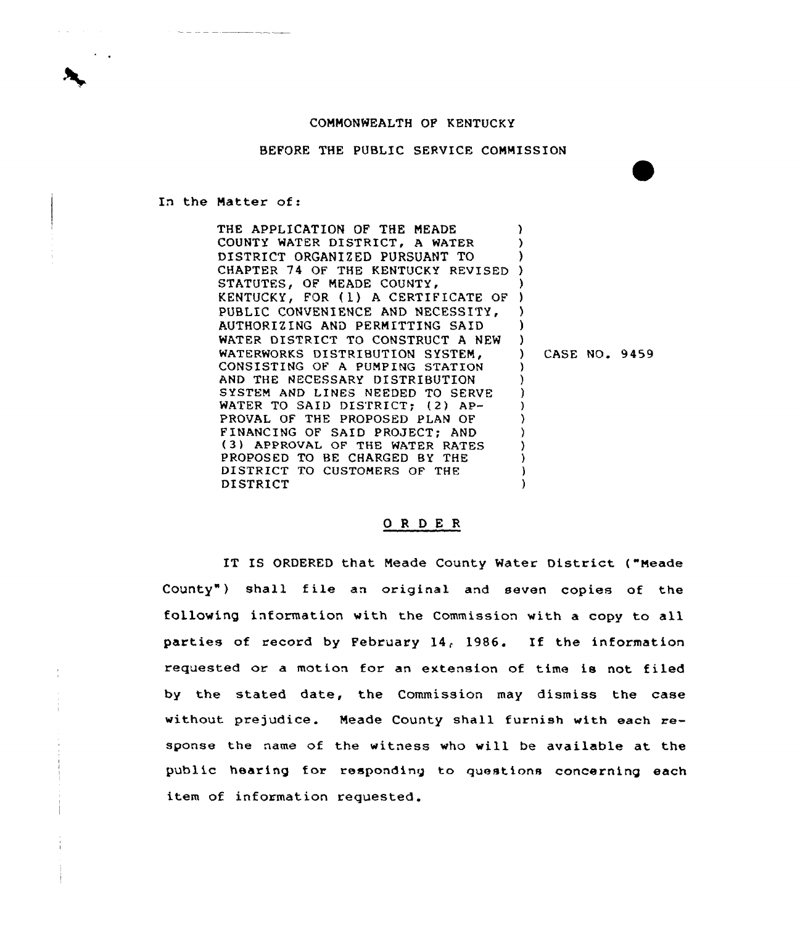## COMMONWEALTH OF KENTUCKY

## BEFORE THE PUBLIC SERVICE COMMISSION

In the Matter of:

THE APPLICATION QF THE MEADE COUNTY WATER DISTRICT, <sup>A</sup> WATER DISTRICT ORGANIZED PURSUANT TO DISTRICT ORGANIZED PURSUANT TO<br>CHAPTER 74 OF THE KENTUCKY REVISED ) STATUTES, OF MEADE COUNTY, KENTUCKY, FOR (1) A CERTIFICATE OF PUBLIC CONVENIENCE AND NECESSITY, AUTHORIZING AND PERMITTING SAID WATER DISTRICT TO CONSTRUCT <sup>A</sup> NEW WATERWORKS DISTRIBUTION SYSTEM, CONSISTING OF A PUMPING STATION AND THE NECESSARY DISTRIBUTION SYSTEM AND LINES NEEDED TO SERVE WATER TO SAID DISTRICT; (2) AP-PROVAL OF THE PROPOSED PLAN OF FINANCING OF SAID PROJECT; AND (3) APPROVAL OF THE WATER RATES PROPOSED TO BE CHARGED BY THE DISTRICT TO CUSTOMERS OF THE DISTRICT ) ) ) ) ) ) ) ) CASE NO. 9459 ) ) ) ) ) ) ) ) ) )

## ORDER

IT IS ORDERED that Meade County Water District ("Meade County") shall file an original and seven copies of the following information with the Commission with a copy to all parties of record by February 14, 1986. If the information requested or a motion for an extension of time is not filed by the stated date, the Commission may dismiss the case without prejudice. Meade County shall furnish with each response the name of the witness who will be available at the public hearing for responding to questions concerning each item of information requested.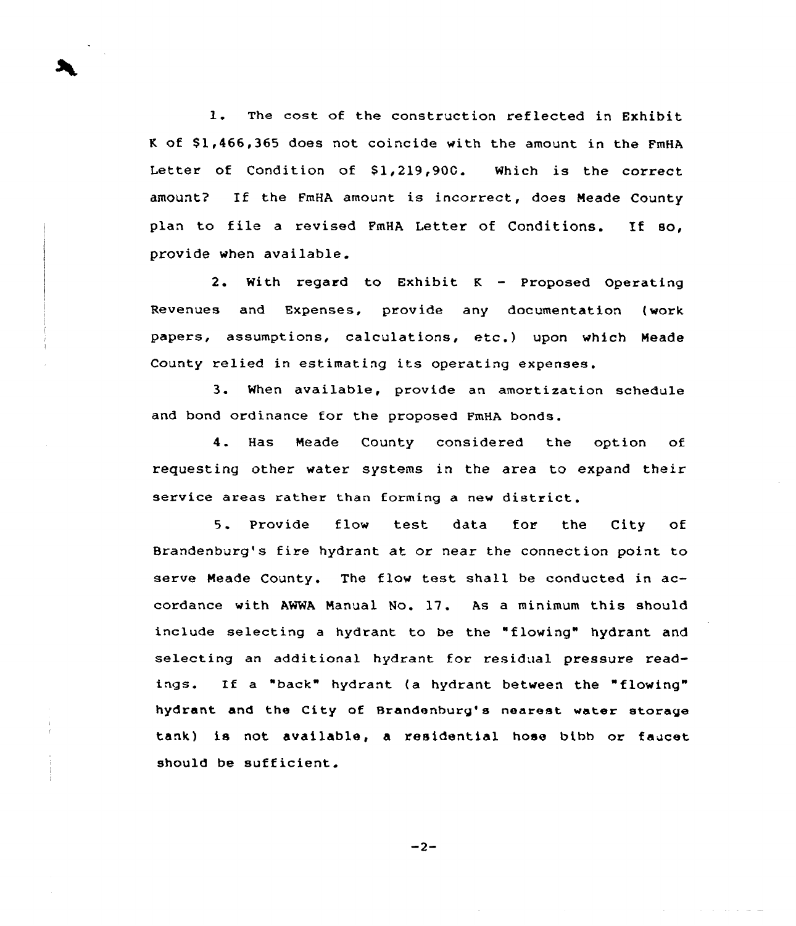l. The cost of the construction reflected in Exhibit K of \$1,466,365 does not coincide with the amount in the FmHA Letter of Condition of  $$1,219,900$ . Which is the correct amount? If the FmHA amount is incorrect, does Meade County plan to file <sup>a</sup> revised FmHA Letter of Conditions. If so, provide when available.

2. With regard to Exhibit <sup>K</sup> — Proposed Operating Revenues and Expenses, provide any documentation (work papers, assumptions, calculations, etc.) upon which Neade County relied in estimating its operating expenses.

3. When available, provide an amortization schedule and bond ordinance for the proposed FmHA bonds.

4. Has Neade County considered the option of requesting other water systems in the area to expand their service areas rather than forming a new district.

5. Provide flow test data for the City of Brandenburg's fire hydrant at or near the connection point to serve Neade County. The flow test shall be conducted in accordance with AWWA Nanual No. 17. As a minimum this should include selecting a hydrant to be the "flowing" hydrant and selecting an additional hydrant for residual pressure readings. If a "back" hydrant (a hydrant between the "flowing" hydrant and the City of Brandenburg's nearest water storage tank) is not available, a residential hose bibb or faucet should be sufficient.

 $-2-$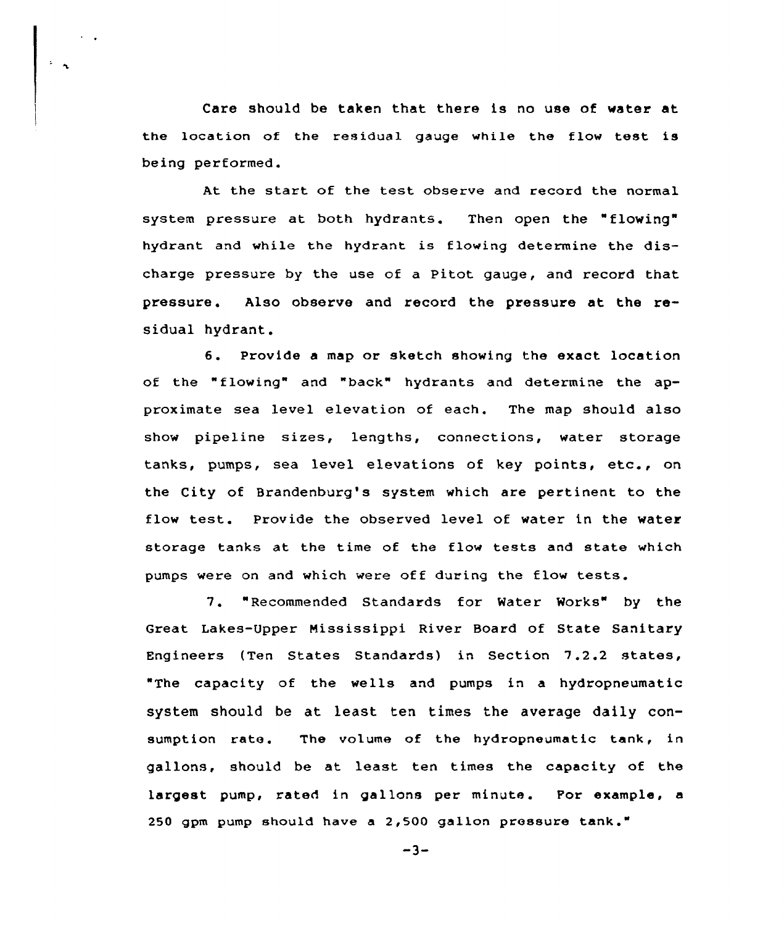Care should be taken that there is no use of water at the location of the residual gauge while the flow test is being performed.

At the start of the test observe and record the normal system pressure at both hydrants. Then open the "flowing" hydrant and while the hydrant is flowing determine the discharge pressure by the use of a Pitot gauge, and record that pressure. Also observe and record the pressure at the residual hydrant.

6. Provide <sup>a</sup> map or sketch showing the exact location of the "flowing" and "back" hydrants and determine the approximate sea level elevation of each. The map should also show pipeline sizes, lengths, connections, water storage tanks, pumps, sea level elevations of key points, etc., on the City of Brandenburg's system which are pertinent to the flow test. Provide the observed level of water in the water storage tanks at the time of the flow tests and state which pumps were on and which were off during the flow tests.

7. "Recommended Standards for Water Works" by the Great Lakes-Upper Mississippi River Board of State Sanitary Engineers (Ten States Standards) in Section 7.2.2 states, "The capacity of the wells and pumps in a hydropneumatic system should be at least ten times the average daily consumption rate. The volume of the hydropneumatic tank, in gallons, should be at least ten times the capacity of the largest pump, rated in gallons per minute. For example, a 250 gpm pump should have a 2,500 gallon pressure tank."

 $-3-$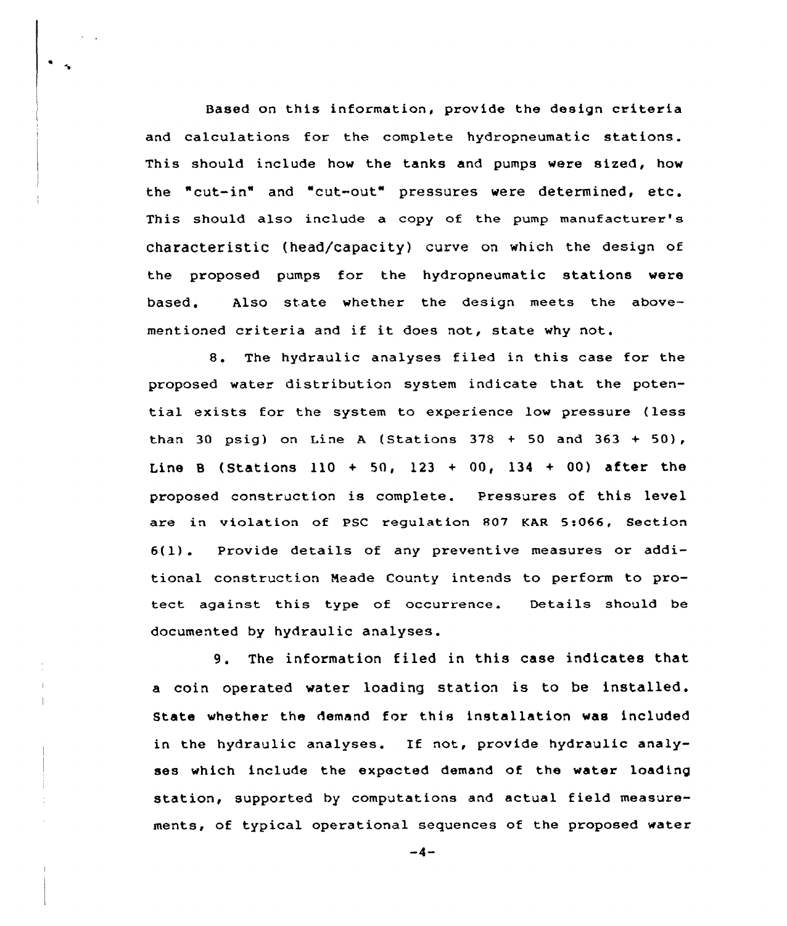Based on this information, provide the design criteria and calculations for the complete hydropneumatic stations. This should include how the tanks and pumps were sized, how the "cut-in" and "cut-out" pressures were determined, etc. This should also include a copy of the pump manufacturer's characteristic (head/capacity) curve on which the design of the proposed pumps for the hydropneumatic stations were based, Also state whether the design meets the abovementioned criteria and if it does not, state why not.

8. The hydraulic analyses filed in this case for the proposed water distribution system indicate that the potential exists for the system to experience low pressure {less than 30 psig) on Line A (Stations  $378 + 50$  and  $363 + 50$ ), Line B (Stations 110 + 50, 123 + 00, 134 + 00) after the proposed construction is complete. Pressures of this level are in violation of PSC regulation 807 KAR 5:066, Section 6{1). Provide details of any preventive measures or additional construction Neade County intends to perform to protect against this type of occurrence. Details should be documented by hydraulic analyses.

9. The information filed in this case indicates that a coin operated water loading station is to be installed. State whether the demand for this installation was included in the hydraulic analyses. If not, provide hydraulic analyses which include the expected demand of the water loading station, supported by computations and actual field measurements, of typical operational sequences of the proposed water

 $-4-$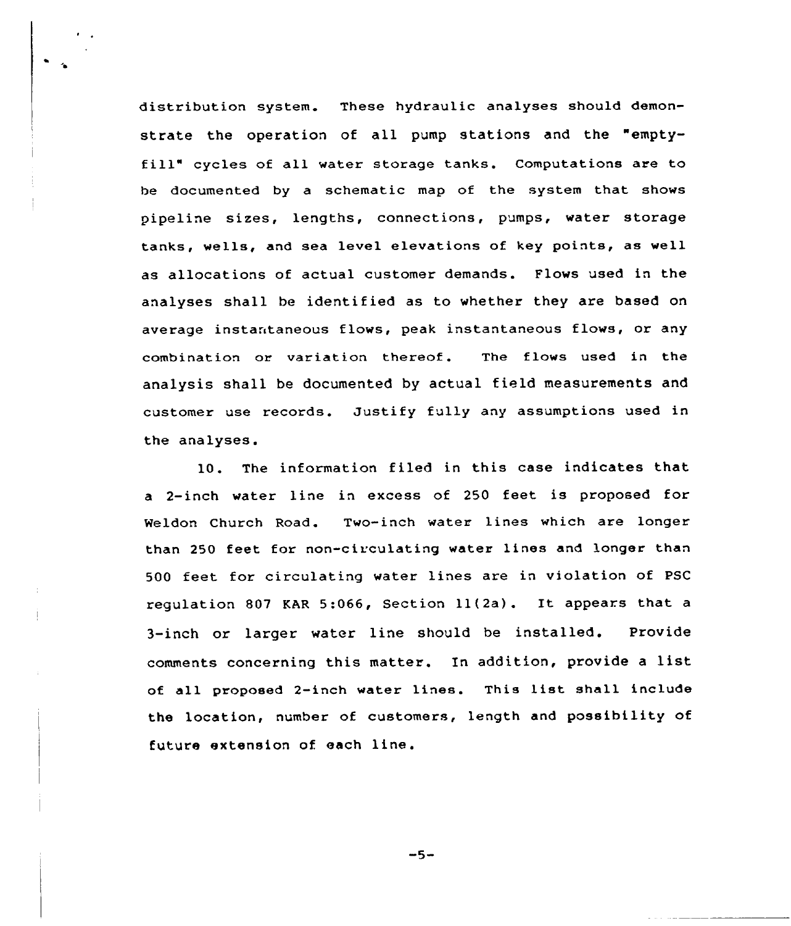distribution system. These hydraulic analyses should demonstrate the operation of all pump stations and the "emptyfill" cycles of all water storage tanks. Computations are to he documented by a schematic map of the system that shows pipeline sizes, lengths, connections, pumps, water storage tanks, wells, and sea level elevations of key points, as well as allocations of actual customer demands. Flows used in the analyses shall be identified as to whether they are based on average instantaneous flows, peak instantaneous flows, or any combination or variation thereof. The flows used in the analysis shall be documented by actual field measurements and customer use records. Justify fully any assumptions used in the analyses.

10. The information filed in this case indicates that a 2-inch water line in excess of 250 feet is proposed for Weldon Church Road. Two-inch water lines which are longer than 250 feet for non-circulating water lines and longer than 500 feet for circulating water lines are in violation of PSC regulation <sup>807</sup> EAR 5:066, Section ll(2a). It appears that <sup>a</sup> 3-inch or larger water line should be installed. Provide comments concerning this matter. In addition, provide <sup>a</sup> list of all proposed 2-inch water lines. This list shall include the location, number of customers, length and possibility of future extension of each line.

-5-